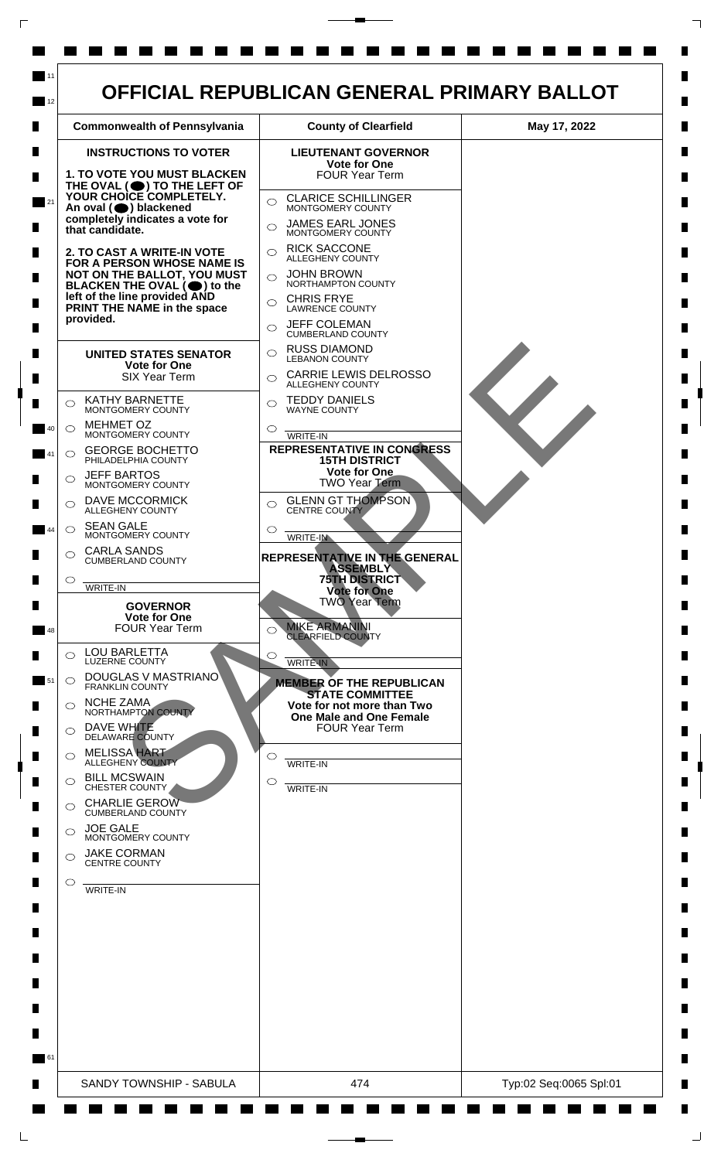

 $\mathsf{L}$